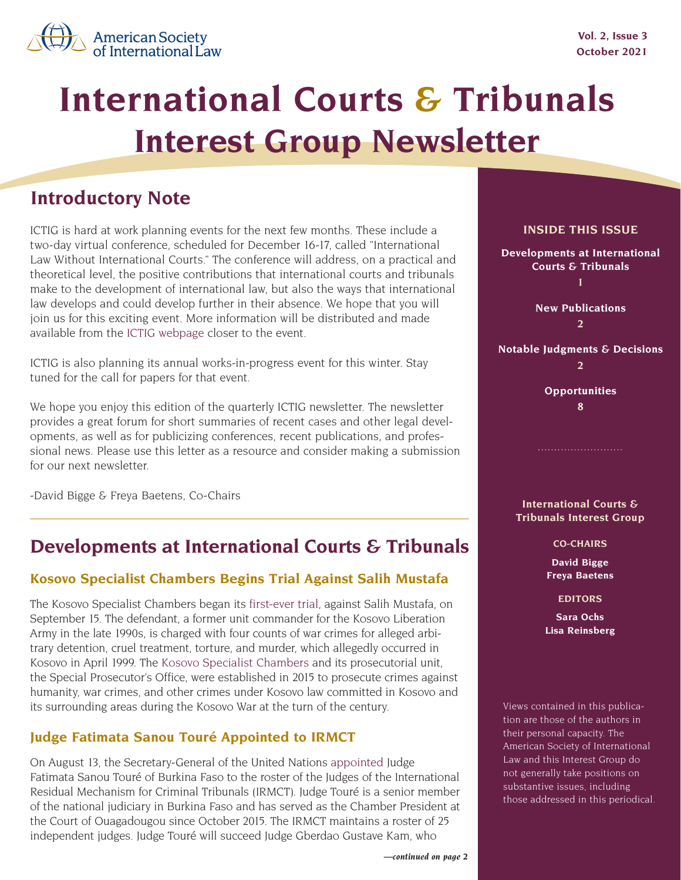

# **International Courts & Tribunals Interest Group Newsletter**

# **Introductory Note**

ICTIG is hard at work planning events for the next few months. These include a two-day virtual conference, scheduled for December 16-17, called "International Law Without International Courts." The conference will address, on a practical and theoretical level, the positive contributions that international courts and tribunals make to the development of international law, but also the ways that international law develops and could develop further in their absence. We hope that you will join us for this exciting event. More information will be distributed and made available from the [ICTIG webpage](https://www.asil.org/community/international-courts-and-tribunals) closer to the event.

ICTIG is also planning its annual works-in-progress event for this winter. Stay tuned for the call for papers for that event.

We hope you enjoy this edition of the quarterly ICTIG newsletter. The newsletter provides a great forum for short summaries of recent cases and other legal developments, as well as for publicizing conferences, recent publications, and professional news. Please use this letter as a resource and consider making a submission for our next newsletter.

-David Bigge & Freya Baetens, Co-Chairs

# **Developments at International Courts & Tribunals**

# **Kosovo Specialist Chambers Begins Trial Against Salih Mustafa**

The Kosovo Specialist Chambers began its [first-ever trial](https://www.scp-ks.org/en/opening-trial-salih-mustafa-kosovo-specialist-chambers), against Salih Mustafa, on September 15. The defendant, a former unit commander for the Kosovo Liberation Army in the late 1990s, is charged with four counts of war crimes for alleged arbitrary detention, cruel treatment, torture, and murder, which allegedly occurred in Kosovo in April 1999. The [Kosovo Specialist Chambers](https://www.scp-ks.org/en) and its prosecutorial unit, the Special Prosecutor's Office, were established in 2015 to prosecute crimes against humanity, war crimes, and other crimes under Kosovo law committed in Kosovo and its surrounding areas during the Kosovo War at the turn of the century.

# **Judge Fatimata Sanou Touré Appointed to IRMCT**

On August 13, the Secretary-General of the United Nations [appointed](https://www.irmct.org/en/news/21-08-13-secretary-general-appoints-judge-fatimata-sanou-toure-burkina-faso-serve-mechanism) Judge Fatimata Sanou Touré of Burkina Faso to the roster of the Judges of the International Residual Mechanism for Criminal Tribunals (IRMCT). Judge Touré is a senior member of the national judiciary in Burkina Faso and has served as the Chamber President at the Court of Ouagadougou since October 2015. The IRMCT maintains a roster of 25 independent judges. Judge Touré will succeed Judge Gberdao Gustave Kam, who

# **INSIDE THIS ISSUE**

**Developments at International Courts & Tribunals 1**

> **[New Publications](#page-1-0)**  $\mathbf{a}$

**[Notable Judgments & Decisions](#page-1-0) [2](#page-1-0)**

> **[Opportunities](#page-7-0) [8](#page-7-0)**

**International Courts & Tribunals Interest Group**

**CO-CHAIRS**

**David Bigge Freya Baetens**

**EDITORS**

**Sara Ochs Lisa Reinsberg**

Views contained in this publication are those of the authors in their personal capacity. The American Society of International Law and this Interest Group do not generally take positions on substantive issues, including those addressed in this periodical.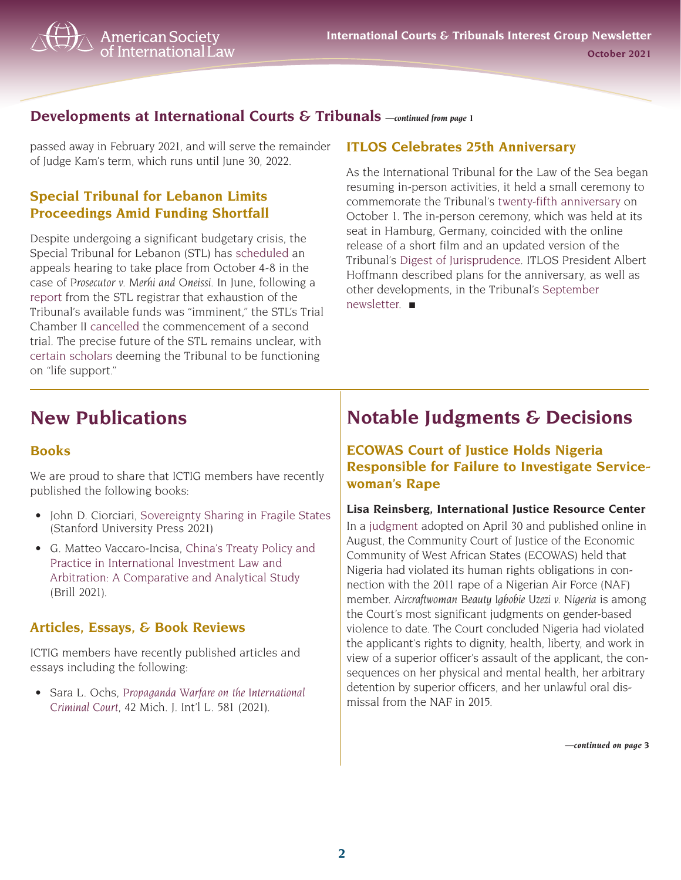# <span id="page-1-0"></span>**Developments at International Courts & Tribunals** *—continued from page 1*

passed away in February 2021, and will serve the remainder of Judge Kam's term, which runs until June 30, 2022.

# **Special Tribunal for Lebanon Limits Proceedings Amid Funding Shortfall**

Despite undergoing a significant budgetary crisis, the Special Tribunal for Lebanon (STL) has [scheduled](https://www.stl-tsl.org/crs/assets/Uploads/20210712-F0038-A2-PUBLIC-AC-Sched-Order-App-Hear-Filed-EN-LW-Web.pdf) an appeals hearing to take place from October 4-8 in the case of *Prosecutor v. Merhi and Oneissi*. In June, following a [report](https://www.stl-tsl.org/crs/assets/Uploads/20210601-F0332-PUBLIC-Reg-Notice-Purs-48C-Shortfall-Funding-EN-Web.pdf) from the STL registrar that exhaustion of the Tribunal's available funds was "imminent," the STL's Trial Chamber II [cancelled](https://www.stl-tsl.org/crs/assets/Uploads/20210602-F0333-PUBLIC-TCII-Order-re-Notice-Purs-48C-Shortfall-Funding-EN-Web.pdf) the commencement of a second trial. The precise future of the STL remains unclear, with [certain scholars](https://www.ejiltalk.org/the-special-tribunal-for-lebanon-how-did-it-survive-for-so-long/?utm_source=mailpoet&utm_medium=email&utm_campaign=ejil-talk-newsletter-post-title_2) deeming the Tribunal to be functioning on "life support."

# **ITLOS Celebrates 25th Anniversary**

As the International Tribunal for the Law of the Sea began resuming in-person activities, it held a small ceremony to commemorate the Tribunal's [twenty-fifth anniversary](https://www.itlos.org/en/main/resources/media-room/calendar-of-events/twenty-fifth-anniversary/) on October 1. The in-person ceremony, which was held at its seat in Hamburg, Germany, coincided with the online release of a short film and an updated version of the Tribunal's [Digest of Jurisprudence.](https://www.itlos.org/fileadmin/itlos/documents/publications/ITLOS_Digest_-_TIDM_Repertoire_2021.pdf) ITLOS President Albert Hoffmann described plans for the anniversary, as well as other developments, in the Tribunal's [September](https://www.itlos.org/en/main/press-media/itlos-newsletters/newsletter-2019/3-1-4/)  [newsletter](https://www.itlos.org/en/main/press-media/itlos-newsletters/newsletter-2019/3-1-4/). ■

# **New Publications**

# **Books**

We are proud to share that ICTIG members have recently published the following books:

- John D. Ciorciari, [Sovereignty Sharing in Fragile States](https://www.sup.org/books/title/?id=32145) (Stanford University Press 2021)
- G. Matteo Vaccaro-Incisa, [China's Treaty Policy and](https://brill.com/view/title/59209)  [Practice in International Investment Law and](https://brill.com/view/title/59209)  [Arbitration: A Comparative and Analytical Study](https://brill.com/view/title/59209) (Brill 2021).

# **Articles, Essays, & Book Reviews**

ICTIG members have recently published articles and essays including the following:

• Sara L. Ochs, *[Propaganda Warfare on the International](https://repository.law.umich.edu/mjil/vol42/iss3/5/)  [Criminal Court](https://repository.law.umich.edu/mjil/vol42/iss3/5/)*, 42 Mich. J. Int'l L. 581 (2021).

# **Notable Judgments & Decisions**

**ECOWAS Court of Justice Holds Nigeria Responsible for Failure to Investigate Servicewoman's Rape**

#### **Lisa Reinsberg, International Justice Resource Center**

In a [judgment](http://www.courtecowas.org/wp-content/uploads/2021/08/JUD-ECW-CCJ-JUD-11-21-Aircraftwoman-Beauty-Igbobie-Uzezi-vs.-FED.-REP.-of-NIGERIA-30_04_21.pdf) adopted on April 30 and published online in August, the Community Court of Justice of the Economic Community of West African States (ECOWAS) held that Nigeria had violated its human rights obligations in connection with the 2011 rape of a Nigerian Air Force (NAF) member. *Aircraftwoman Beauty Igbobie Uzezi v. Nigeria* is among the Court's most significant judgments on gender-based violence to date. The Court concluded Nigeria had violated the applicant's rights to dignity, health, liberty, and work in view of a superior officer's assault of the applicant, the consequences on her physical and mental health, her arbitrary detention by superior officers, and her unlawful oral dismissal from the NAF in 2015.

*—continued on page 3*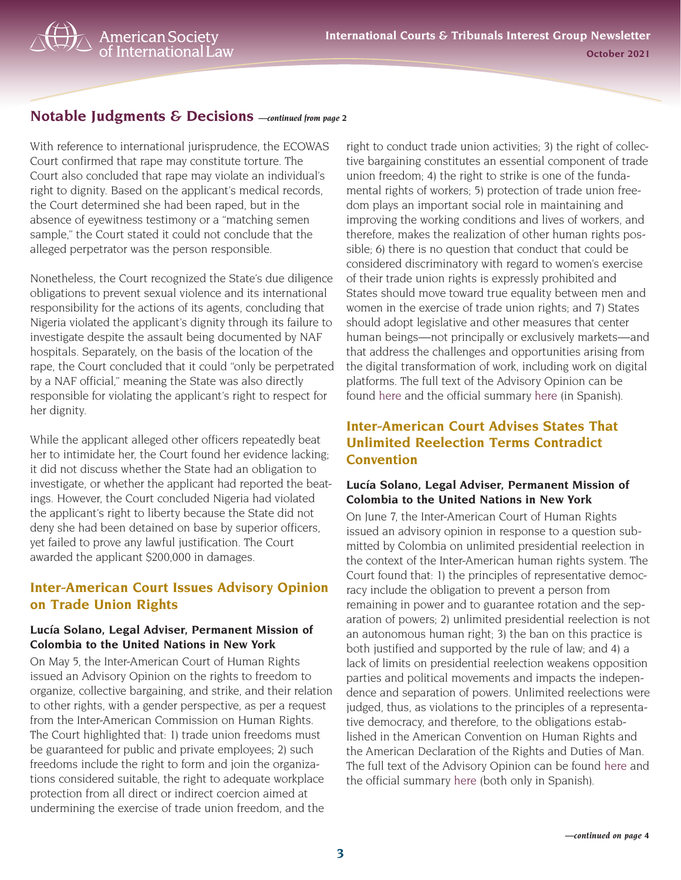American Society<br>of International Law

With reference to international jurisprudence, the ECOWAS Court confirmed that rape may constitute torture. The Court also concluded that rape may violate an individual's right to dignity. Based on the applicant's medical records, the Court determined she had been raped, but in the absence of eyewitness testimony or a "matching semen sample," the Court stated it could not conclude that the alleged perpetrator was the person responsible.

Nonetheless, the Court recognized the State's due diligence obligations to prevent sexual violence and its international responsibility for the actions of its agents, concluding that Nigeria violated the applicant's dignity through its failure to investigate despite the assault being documented by NAF hospitals. Separately, on the basis of the location of the rape, the Court concluded that it could "only be perpetrated by a NAF official," meaning the State was also directly responsible for violating the applicant's right to respect for her dignity.

While the applicant alleged other officers repeatedly beat her to intimidate her, the Court found her evidence lacking; it did not discuss whether the State had an obligation to investigate, or whether the applicant had reported the beatings. However, the Court concluded Nigeria had violated the applicant's right to liberty because the State did not deny she had been detained on base by superior officers, yet failed to prove any lawful justification. The Court awarded the applicant \$200,000 in damages.

# **Inter-American Court Issues Advisory Opinion on Trade Union Rights**

#### **Lucía Solano, Legal Adviser, Permanent Mission of Colombia to the United Nations in New York**

On May 5, the Inter-American Court of Human Rights issued an Advisory Opinion on the rights to freedom to organize, collective bargaining, and strike, and their relation to other rights, with a gender perspective, as per a request from the Inter-American Commission on Human Rights. The Court highlighted that: 1) trade union freedoms must be guaranteed for public and private employees; 2) such freedoms include the right to form and join the organizations considered suitable, the right to adequate workplace protection from all direct or indirect coercion aimed at undermining the exercise of trade union freedom, and the

right to conduct trade union activities; 3) the right of collective bargaining constitutes an essential component of trade union freedom; 4) the right to strike is one of the fundamental rights of workers; 5) protection of trade union freedom plays an important social role in maintaining and improving the working conditions and lives of workers, and therefore, makes the realization of other human rights possible; 6) there is no question that conduct that could be considered discriminatory with regard to women's exercise of their trade union rights is expressly prohibited and States should move toward true equality between men and women in the exercise of trade union rights; and 7) States should adopt legislative and other measures that center human beings—not principally or exclusively markets—and that address the challenges and opportunities arising from the digital transformation of work, including work on digital platforms. The full text of the Advisory Opinion can be found [here](https://corteidh.or.cr/docs/opiniones/seriea_27_esp.pdf) and the official summary [here](https://corteidh.or.cr/docs/opiniones/resumen_seriea_27_esp.pdf) (in Spanish).

# **Inter-American Court Advises States That Unlimited Reelection Terms Contradict Convention**

#### **Lucía Solano, Legal Adviser, Permanent Mission of Colombia to the United Nations in New York**

On June 7, the Inter-American Court of Human Rights issued an advisory opinion in response to a question submitted by Colombia on unlimited presidential reelection in the context of the Inter-American human rights system. The Court found that: 1) the principles of representative democracy include the obligation to prevent a person from remaining in power and to guarantee rotation and the separation of powers; 2) unlimited presidential reelection is not an autonomous human right; 3) the ban on this practice is both justified and supported by the rule of law; and 4) a lack of limits on presidential reelection weakens opposition parties and political movements and impacts the independence and separation of powers. Unlimited reelections were judged, thus, as violations to the principles of a representative democracy, and therefore, to the obligations established in the American Convention on Human Rights and the American Declaration of the Rights and Duties of Man. The full text of the Advisory Opinion can be foun[d](https://www.corteidh.or.cr/docs/opiniones/seriea_28_esp.pdf) [here](https://www.corteidh.or.cr/docs/opiniones/seriea_28_esp.pdf) and the official summar[y](https://www.corteidh.or.cr/docs/opiniones/resumen_seriea_28_esp.pdf) [here](https://www.corteidh.or.cr/docs/opiniones/resumen_seriea_28_esp.pdf) (both only in Spanish).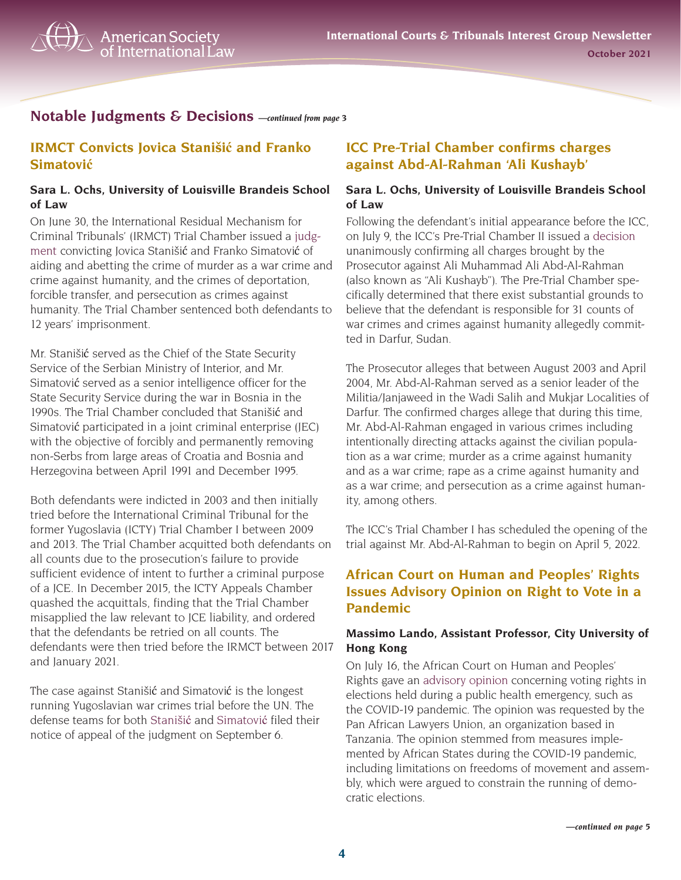

## **IRMCT Convicts Jovica Stanišić and Franko Simatović**

#### **Sara L. Ochs, University of Louisville Brandeis School of Law**

On June 30, the International Residual Mechanism for Criminal Tribunals' (IRMCT) Trial Chamber issued a [judg](https://www.irmct.org/sites/default/files/case_documents/20210806-Judgement-Stanisic_Simatovic.pdf)[ment](https://www.irmct.org/sites/default/files/case_documents/20210806-Judgement-Stanisic_Simatovic.pdf) convicting Jovica Stanišić and Franko Simatović of aiding and abetting the crime of murder as a war crime and crime against humanity, and the crimes of deportation, forcible transfer, and persecution as crimes against humanity. The Trial Chamber sentenced both defendants to 12 years' imprisonment.

Mr. Stanišić served as the Chief of the State Security Service of the Serbian Ministry of Interior, and Mr. Simatović served as a senior intelligence officer for the State Security Service during the war in Bosnia in the 1990s. The Trial Chamber concluded that Stanišić and Simatović participated in a joint criminal enterprise (JEC) with the objective of forcibly and permanently removing non-Serbs from large areas of Croatia and Bosnia and Herzegovina between April 1991 and December 1995.

Both defendants were indicted in 2003 and then initially tried before the International Criminal Tribunal for the former Yugoslavia (ICTY) Trial Chamber I between 2009 and 2013. The Trial Chamber acquitted both defendants on all counts due to the prosecution's failure to provide sufficient evidence of intent to further a criminal purpose of a JCE. In December 2015, the ICTY Appeals Chamber quashed the acquittals, finding that the Trial Chamber misapplied the law relevant to JCE liability, and ordered that the defendants be retried on all counts. The defendants were then tried before the IRMCT between 2017 and January 2021.

The case against Stanišić and Simatović is the longest running Yugoslavian war crimes trial before the UN. The defense teams for both [Staniši](https://www.irmct.org/sites/default/files/case_documents/210906-stanisic-defence-notice-appeal-mict-15-96-en.pdf)ć and [Simatovi](https://www.irmct.org/sites/default/files/case_documents/210906-simatovic-defence-notice-appeal-mict-15-96-en.pdf)ć filed their notice of appeal of the judgment on September 6.

# **ICC Pre-Trial Chamber confirms charges against Abd-Al-Rahman 'Ali Kushayb'**

#### **Sara L. Ochs, University of Louisville Brandeis School of Law**

Following the defendant's initial appearance before the ICC, on July 9, the ICC's Pre-Trial Chamber II issued a [decision](https://www.icc-cpi.int/CourtRecords/CR2021_06131.PDF) unanimously confirming all charges brought by the Prosecutor against Ali Muhammad Ali Abd-Al-Rahman (also known as "Ali Kushayb"). The Pre-Trial Chamber specifically determined that there exist substantial grounds to believe that the defendant is responsible for 31 counts of war crimes and crimes against humanity allegedly committed in Darfur, Sudan.

The Prosecutor alleges that between August 2003 and April 2004, Mr. Abd-Al-Rahman served as a senior leader of the Militia/Janjaweed in the Wadi Salih and Mukjar Localities of Darfur. The confirmed charges allege that during this time, Mr. Abd-Al-Rahman engaged in various crimes including intentionally directing attacks against the civilian population as a war crime; murder as a crime against humanity and as a war crime; rape as a crime against humanity and as a war crime; and persecution as a crime against humanity, among others.

The ICC's Trial Chamber I has scheduled the opening of the trial against Mr. Abd-Al-Rahman to begin on April 5, 2022.

# **African Court on Human and Peoples' Rights Issues Advisory Opinion on Right to Vote in a Pandemic**

#### **Massimo Lando, Assistant Professor, City University of Hong Kong**

On July 16, the African Court on Human and Peoples' Rights gave an [advisory opinion](https://www.african-court.org/cpmt/storage/app/uploads/public/60f/574/3a6/60f5743a61e75369142990.pdf) concerning voting rights in elections held during a public health emergency, such as the COVID-19 pandemic. The opinion was requested by the Pan African Lawyers Union, an organization based in Tanzania. The opinion stemmed from measures implemented by African States during the COVID-19 pandemic, including limitations on freedoms of movement and assembly, which were argued to constrain the running of democratic elections.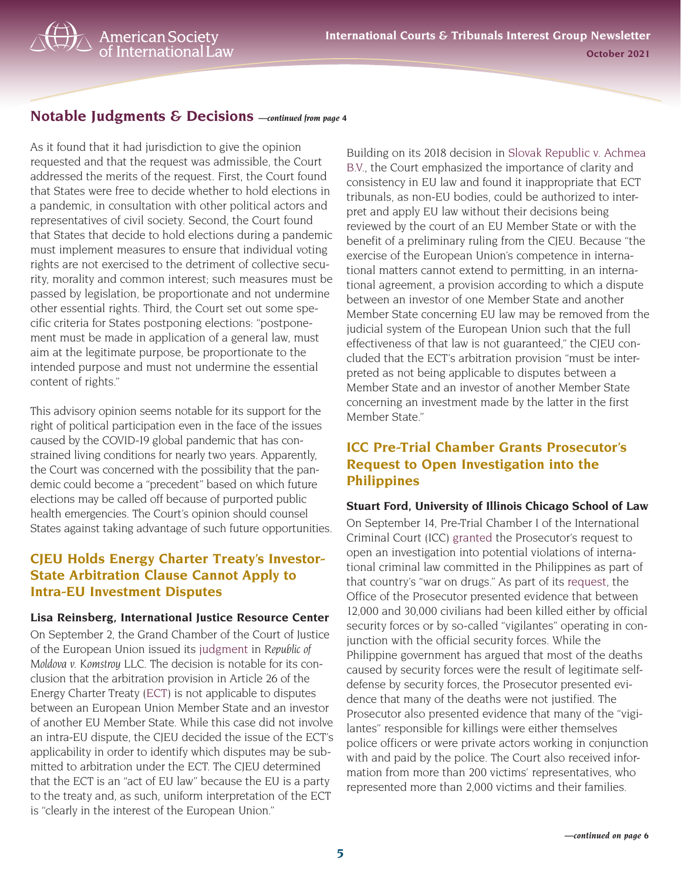

 $\searrow$  American Society<br> $\searrow$  of International Law

As it found that it had jurisdiction to give the opinion requested and that the request was admissible, the Court addressed the merits of the request. First, the Court found that States were free to decide whether to hold elections in a pandemic, in consultation with other political actors and representatives of civil society. Second, the Court found that States that decide to hold elections during a pandemic must implement measures to ensure that individual voting rights are not exercised to the detriment of collective security, morality and common interest; such measures must be passed by legislation, be proportionate and not undermine other essential rights. Third, the Court set out some specific criteria for States postponing elections: "postponement must be made in application of a general law, must aim at the legitimate purpose, be proportionate to the intended purpose and must not undermine the essential content of rights."

This advisory opinion seems notable for its support for the right of political participation even in the face of the issues caused by the COVID-19 global pandemic that has constrained living conditions for nearly two years. Apparently, the Court was concerned with the possibility that the pandemic could become a "precedent" based on which future elections may be called off because of purported public health emergencies. The Court's opinion should counsel States against taking advantage of such future opportunities.

# **CJEU Holds Energy Charter Treaty's Investor-State Arbitration Clause Cannot Apply to Intra-EU Investment Disputes**

#### **Lisa Reinsberg, International Justice Resource Center**

On September 2, the Grand Chamber of the Court of Justice of the European Union issued its [judgment](https://curia.europa.eu/juris/document/document.jsf?dir=&docid=245528&doclang=EN&mode=req&occ=first&pageIndex=0&part=1&text=) in *Republic of Moldova v. Komstroy LLC*. The decision is notable for its conclusion that the arbitration provision in Article 26 of the Energy Charter Treaty [\(ECT](https://www.energycharter.org/fileadmin/DocumentsMedia/Legal/ECTC-en.pdf)) is not applicable to disputes between an European Union Member State and an investor of another EU Member State. While this case did not involve an intra-EU dispute, the CJEU decided the issue of the ECT's applicability in order to identify which disputes may be submitted to arbitration under the ECT. The CJEU determined that the ECT is an "act of EU law" because the EU is a party to the treaty and, as such, uniform interpretation of the ECT is "clearly in the interest of the European Union."

Building on its 2018 decision in [Slovak Republic v. Achmea](https://curia.europa.eu/juris/document/document.jsf?text=&docid=199968&pageIndex=0&doclang=EN&mode=req&dir=&occ=first&part=1&cid=404057)  [B.V.,](https://curia.europa.eu/juris/document/document.jsf?text=&docid=199968&pageIndex=0&doclang=EN&mode=req&dir=&occ=first&part=1&cid=404057) the Court emphasized the importance of clarity and consistency in EU law and found it inappropriate that ECT tribunals, as non-EU bodies, could be authorized to interpret and apply EU law without their decisions being reviewed by the court of an EU Member State or with the benefit of a preliminary ruling from the CJEU. Because "the exercise of the European Union's competence in international matters cannot extend to permitting, in an international agreement, a provision according to which a dispute between an investor of one Member State and another Member State concerning EU law may be removed from the judicial system of the European Union such that the full effectiveness of that law is not guaranteed," the CJEU concluded that the ECT's arbitration provision "must be interpreted as not being applicable to disputes between a Member State and an investor of another Member State concerning an investment made by the latter in the first Member State."

# **ICC Pre-Trial Chamber Grants Prosecutor's Request to Open Investigation into the Philippines**

#### **Stuart Ford, University of Illinois Chicago School of Law**

On September 14, Pre-Trial Chamber I of the International Criminal Court (ICC) [granted](https://www.icc-cpi.int/CourtRecords/CR2021_08044.PDF) the Prosecutor's request to open an investigation into potential violations of international criminal law committed in the Philippines as part of that country's "war on drugs." As part of its [request](https://www.icc-cpi.int/CourtRecords/CR2021_05381.PDF), the Office of the Prosecutor presented evidence that between 12,000 and 30,000 civilians had been killed either by official security forces or by so-called "vigilantes" operating in conjunction with the official security forces. While the Philippine government has argued that most of the deaths caused by security forces were the result of legitimate selfdefense by security forces, the Prosecutor presented evidence that many of the deaths were not justified. The Prosecutor also presented evidence that many of the "vigilantes" responsible for killings were either themselves police officers or were private actors working in conjunction with and paid by the police. The Court also received information from more than 200 victims' representatives, who represented more than 2,000 victims and their families.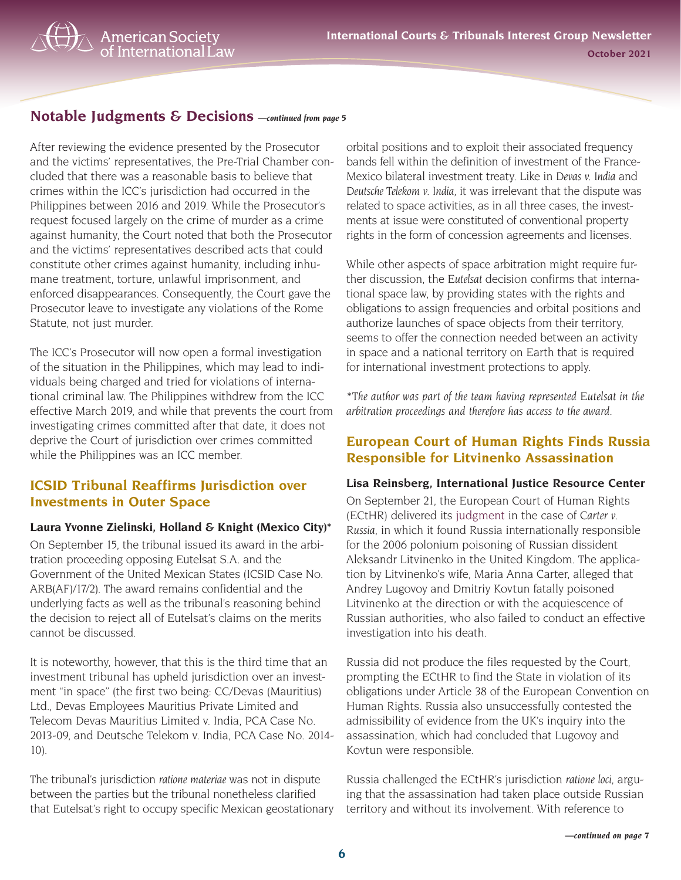

American Society<br><sup>S</sup> of International Law

After reviewing the evidence presented by the Prosecutor and the victims' representatives, the Pre-Trial Chamber concluded that there was a reasonable basis to believe that crimes within the ICC's jurisdiction had occurred in the Philippines between 2016 and 2019. While the Prosecutor's request focused largely on the crime of murder as a crime against humanity, the Court noted that both the Prosecutor and the victims' representatives described acts that could constitute other crimes against humanity, including inhumane treatment, torture, unlawful imprisonment, and enforced disappearances. Consequently, the Court gave the Prosecutor leave to investigate any violations of the Rome Statute, not just murder.

The ICC's Prosecutor will now open a formal investigation of the situation in the Philippines, which may lead to individuals being charged and tried for violations of international criminal law. The Philippines withdrew from the ICC effective March 2019, and while that prevents the court from investigating crimes committed after that date, it does not deprive the Court of jurisdiction over crimes committed while the Philippines was an ICC member.

# **ICSID Tribunal Reaffirms Jurisdiction over Investments in Outer Space**

#### **Laura Yvonne Zielinski, Holland & Knight (Mexico City)\***

On September 15, the tribunal issued its award in the arbitration proceeding opposing Eutelsat S.A. and the Government of the United Mexican States (ICSID Case No. ARB(AF)/17/2). The award remains confidential and the underlying facts as well as the tribunal's reasoning behind the decision to reject all of Eutelsat's claims on the merits cannot be discussed.

It is noteworthy, however, that this is the third time that an investment tribunal has upheld jurisdiction over an investment "in space" (the first two being: CC/Devas (Mauritius) Ltd., Devas Employees Mauritius Private Limited and Telecom Devas Mauritius Limited v. India, PCA Case No. 2013-09, and Deutsche Telekom v. India, PCA Case No. 2014- 10).

The tribunal's jurisdiction *ratione materiae* was not in dispute between the parties but the tribunal nonetheless clarified that Eutelsat's right to occupy specific Mexican geostationary orbital positions and to exploit their associated frequency bands fell within the definition of investment of the France-Mexico bilateral investment treaty. Like in *Devas v. India* and *Deutsche Telekom v. India*, it was irrelevant that the dispute was related to space activities, as in all three cases, the investments at issue were constituted of conventional property rights in the form of concession agreements and licenses.

While other aspects of space arbitration might require further discussion, the *Eutelsat* decision confirms that international space law, by providing states with the rights and obligations to assign frequencies and orbital positions and authorize launches of space objects from their territory, seems to offer the connection needed between an activity in space and a national territory on Earth that is required for international investment protections to apply.

\**The author was part of the team having represented Eutelsat in the arbitration proceedings and therefore has access to the award.*

# **European Court of Human Rights Finds Russia Responsible for Litvinenko Assassination**

#### **Lisa Reinsberg, International Justice Resource Center**

On September 21, the European Court of Human Rights (ECtHR) delivered its [judgment](http://hudoc.echr.coe.int/eng?i=001-211972) in the case of *Carter v. Russia*, in which it found Russia internationally responsible for the 2006 polonium poisoning of Russian dissident Aleksandr Litvinenko in the United Kingdom. The application by Litvinenko's wife, Maria Anna Carter, alleged that Andrey Lugovoy and Dmitriy Kovtun fatally poisoned Litvinenko at the direction or with the acquiescence of Russian authorities, who also failed to conduct an effective investigation into his death.

Russia did not produce the files requested by the Court, prompting the ECtHR to find the State in violation of its obligations under Article 38 of the European Convention on Human Rights. Russia also unsuccessfully contested the admissibility of evidence from the UK's inquiry into the assassination, which had concluded that Lugovoy and Kovtun were responsible.

Russia challenged the ECtHR's jurisdiction *ratione loci*, arguing that the assassination had taken place outside Russian territory and without its involvement. With reference to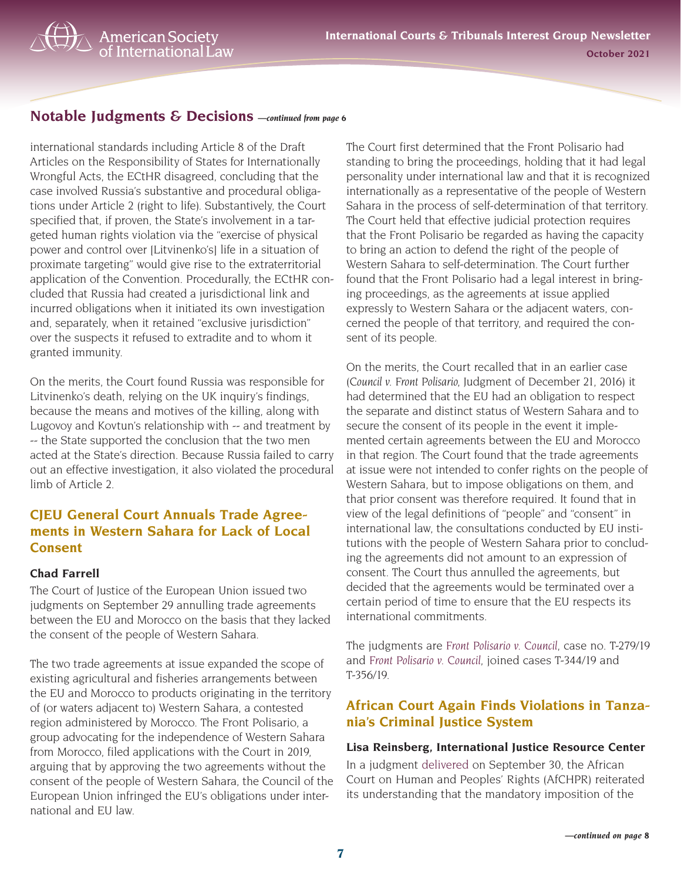international standards including Article 8 of the Draft Articles on the Responsibility of States for Internationally Wrongful Acts, the ECtHR disagreed, concluding that the case involved Russia's substantive and procedural obligations under Article 2 (right to life). Substantively, the Court specified that, if proven, the State's involvement in a targeted human rights violation via the "exercise of physical power and control over [Litvinenko's] life in a situation of proximate targeting" would give rise to the extraterritorial application of the Convention. Procedurally, the ECtHR concluded that Russia had created a jurisdictional link and incurred obligations when it initiated its own investigation and, separately, when it retained "exclusive jurisdiction" over the suspects it refused to extradite and to whom it granted immunity.

On the merits, the Court found Russia was responsible for Litvinenko's death, relying on the UK inquiry's findings, because the means and motives of the killing, along with Lugovoy and Kovtun's relationship with -- and treatment by -- the State supported the conclusion that the two men acted at the State's direction. Because Russia failed to carry out an effective investigation, it also violated the procedural limb of Article 2.

# **CJEU General Court Annuals Trade Agreements in Western Sahara for Lack of Local Consent**

#### **Chad Farrell**

The Court of Justice of the European Union issued two judgments on September 29 annulling trade agreements between the EU and Morocco on the basis that they lacked the consent of the people of Western Sahara.

The two trade agreements at issue expanded the scope of existing agricultural and fisheries arrangements between the EU and Morocco to products originating in the territory of (or waters adjacent to) Western Sahara, a contested region administered by Morocco. The Front Polisario, a group advocating for the independence of Western Sahara from Morocco, filed applications with the Court in 2019, arguing that by approving the two agreements without the consent of the people of Western Sahara, the Council of the European Union infringed the EU's obligations under international and EU law.

The Court first determined that the Front Polisario had standing to bring the proceedings, holding that it had legal personality under international law and that it is recognized internationally as a representative of the people of Western Sahara in the process of self-determination of that territory. The Court held that effective judicial protection requires that the Front Polisario be regarded as having the capacity to bring an action to defend the right of the people of Western Sahara to self-determination. The Court further found that the Front Polisario had a legal interest in bringing proceedings, as the agreements at issue applied expressly to Western Sahara or the adjacent waters, concerned the people of that territory, and required the consent of its people.

On the merits, the Court recalled that in an earlier case (*Council v. Front Polisario*, Judgment of December 21, 2016) it had determined that the EU had an obligation to respect the separate and distinct status of Western Sahara and to secure the consent of its people in the event it implemented certain agreements between the EU and Morocco in that region. The Court found that the trade agreements at issue were not intended to confer rights on the people of Western Sahara, but to impose obligations on them, and that prior consent was therefore required. It found that in view of the legal definitions of "people" and "consent" in international law, the consultations conducted by EU institutions with the people of Western Sahara prior to concluding the agreements did not amount to an expression of consent. The Court thus annulled the agreements, but decided that the agreements would be terminated over a certain period of time to ensure that the EU respects its international commitments.

The judgments are *[Front Polisario v. Council](https://curia.europa.eu/juris/documents.jsf?num=T-279/19)*, case no. T-279/19 and *[Front Polisario v. Council](https://curia.europa.eu/juris/documents.jsf?num=T-344/19)*, joined cases T-344/19 and T-356/19.

# **African Court Again Finds Violations in Tanzania's Criminal Justice System**

**Lisa Reinsberg, International Justice Resource Center**

In a judgment [delivered](https://youtu.be/HJn7xSNDH9o?t=1636) on September 30, the African Court on Human and Peoples' Rights (AfCHPR) reiterated its understanding that the mandatory imposition of the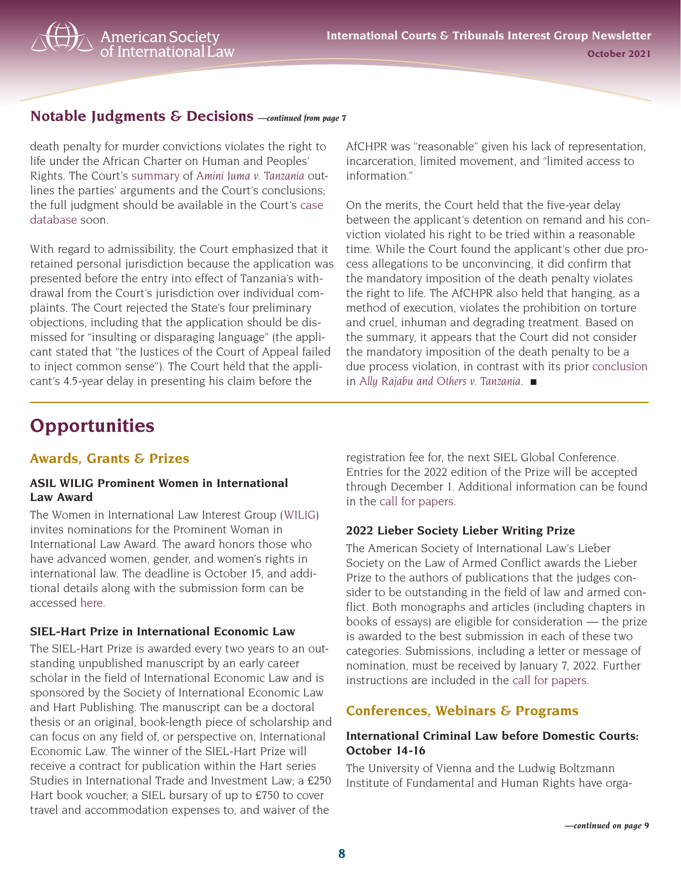<span id="page-7-0"></span>death penalty for murder convictions violates the right to life under the African Charter on Human and Peoples' Rights. The Court's [summary](https://www.african-court.org/cpmt/storage/app/uploads/public/615/5af/960/6155af96096ed524951231.pdf) of *[Amini Juma v. Tanzania](https://www.african-court.org/cpmt/details-case/0242016)* outlines the parties' arguments and the Court's conclusions; the full judgment should be available in the Court's [case](https://www.african-court.org/cpmt/latest-decisions/judgments)  [database](https://www.african-court.org/cpmt/latest-decisions/judgments) soon.

With regard to admissibility, the Court emphasized that it retained personal jurisdiction because the application was presented before the entry into effect of Tanzania's withdrawal from the Court's jurisdiction over individual complaints. The Court rejected the State's four preliminary objections, including that the application should be dismissed for "insulting or disparaging language" (the applicant stated that "the Justices of the Court of Appeal failed to inject common sense"). The Court held that the applicant's 4.5-year delay in presenting his claim before the

AfCHPR was "reasonable" given his lack of representation, incarceration, limited movement, and "limited access to information."

On the merits, the Court held that the five-year delay between the applicant's detention on remand and his conviction violated his right to be tried within a reasonable time. While the Court found the applicant's other due process allegations to be unconvincing, it did confirm that the mandatory imposition of the death penalty violates the right to life. The AfCHPR also held that hanging, as a method of execution, violates the prohibition on torture and cruel, inhuman and degrading treatment. Based on the summary, it appears that the Court did not consider the mandatory imposition of the death penalty to be a due process violation, in contrast with its prior [conclusion](https://www.african-court.org/cpmt/storage/app/uploads/public/5f5/63d/f99/5f563df99fbc7507699184.pdf#page=34) in *[Ally Rajabu and Others v. Tanzania](https://www.african-court.org/cpmt/storage/app/uploads/public/5f5/63d/f99/5f563df99fbc7507699184.pdf)*. ■

# **Opportunities**

# **Awards, Grants & Prizes**

#### **ASIL WILIG Prominent Women in International Law Award**

The Women in International Law Interest Group [\(WILIG](https://nam11.safelinks.protection.outlook.com/?url=https%3A%2F%2Fonline.asil.org%2Fasilssa%2Fecmssamsganalytics.click_through%3Fp_mail_id%3DE212816A7375576B1C1253081&data=04%7C01%7Csara.ochs%40louisville.edu%7C98546df4c96f4c518d3108d9793afe86%7Cdd246e4a54344e158ae391ad9797b209%7C0%7C0%7C637674116574059989%7CUnknown%7CTWFpbGZsb3d8eyJWIjoiMC4wLjAwMDAiLCJQIjoiV2luMzIiLCJBTiI6Ik1haWwiLCJXVCI6Mn0%3D%7C1000&sdata=%2FegoR5IPr5OVyfgPUR2j%2BPEKLHKOShTMEZ0Ww0MWnos%3D&reserved=0)) invites nominations for the Prominent Woman in International Law Award. The award honors those who have advanced women, gender, and women's rights in international law. The deadline is October 15, and additional details along with the submission form can be accessed [here](https://docs.google.com/forms/d/e/1FAIpQLSef0bM423kv4jJ-653fmqG44oiGuUEkKk1G8vWDMRfy6BAmlw/viewform).

#### **SIEL-Hart Prize in International Economic Law**

The SIEL-Hart Prize is awarded every two years to an outstanding unpublished manuscript by an early career scholar in the field of International Economic Law and is sponsored by the Society of International Economic Law and Hart Publishing. The manuscript can be a doctoral thesis or an original, book-length piece of scholarship and can focus on any field of, or perspective on, International Economic Law. The winner of the SIEL-Hart Prize will receive a contract for publication within the Hart series Studies in International Trade and Investment Law; a £250 Hart book voucher; a SIEL bursary of up to £750 to cover travel and accommodation expenses to, and waiver of the

registration fee for, the next SIEL Global Conference. Entries for the 2022 edition of the Prize will be accepted through December 1. Additional information can be found in the [call for papers](https://www.bloomsbury.com/uk/discover/superpages/hart/siel-hart-prize-in-international-economic-law/).

# **2022 Lieber Society Lieber Writing Prize**

The American Society of International Law's Lieber Society on the Law of Armed Conflict awards the Lieber Prize to the authors of publications that the judges consider to be outstanding in the field of law and armed conflict. Both monographs and articles (including chapters in books of essays) are eligible for consideration — the prize is awarded to the best submission in each of these two categories. Submissions, including a letter or message of nomination, must be received by January 7, 2022. Further instructions are included in the [call for papers.](https://www.asil.org/sites/default/files/documents/Lieber%20Prize%202022%20Call%20for%20Papers.pdf)

# **Conferences, Webinars & Programs**

#### **International Criminal Law before Domestic Courts: October 14-16**

The University of Vienna and the Ludwig Boltzmann Institute of Fundamental and Human Rights have orga-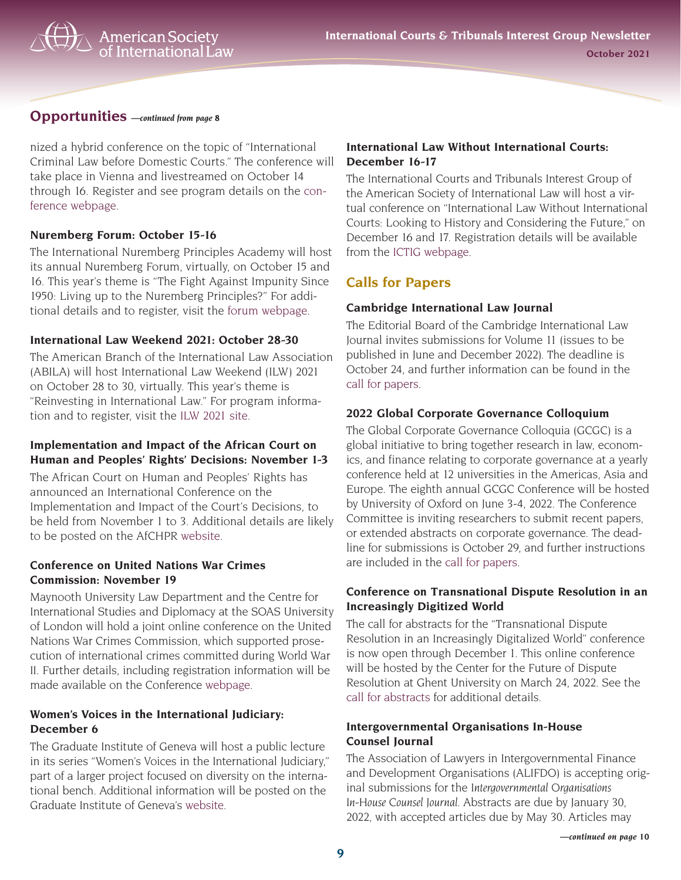#### **Opportunities** *—continued from page 8*

nized a hybrid conference on the topic of "International Criminal Law before Domestic Courts." The conference will take place in Vienna and livestreamed on October 14 through 16. Register and see program details on the [con](https://www.iclconference21.com/)[ference webpage](https://www.iclconference21.com/).

#### **Nuremberg Forum: October 15-16**

The International Nuremberg Principles Academy will host its annual Nuremberg Forum, virtually, on October 15 and 16. This year's theme is "The Fight Against Impunity Since 1950: Living up to the Nuremberg Principles?" For additional details and to register, visit the [forum webpage](https://www.nurembergforum.org/nuremberg-forum-2021/programme).

#### **International Law Weekend 2021: October 28-30**

The American Branch of the International Law Association (ABILA) will host International Law Weekend (ILW) 2021 on October 28 to 30, virtually. This year's theme is "Reinvesting in International Law." For program information and to register, visit the [ILW 2021 site.](https://www.ila-americanbranch.org/international-law-weekend/)

#### **Implementation and Impact of the African Court on Human and Peoples' Rights' Decisions: November 1-3**

The African Court on Human and Peoples' Rights has announced an International Conference on the Implementation and Impact of the Court's Decisions, to be held from November 1 to 3. Additional details are likely to be posted on the AfCHPR [website.](https://www.african-court.org/wpafc/)

#### **Conference on United Nations War Crimes Commission: November 19**

Maynooth University Law Department and the Centre for International Studies and Diplomacy at the SOAS University of London will hold a joint online conference on the United Nations War Crimes Commission, which supported prosecution of international crimes committed during World War II. Further details, including registration information will be made available on the Conference [webpage.](https://www.maynoothuniversity.ie/news-events/united-nations-war-crimes-commission-unwcc-conference)

#### **Women's Voices in the International Judiciary: December 6**

The Graduate Institute of Geneva will host a public lecture in its series "Women's Voices in the International Judiciary," part of a larger project focused on diversity on the international bench. Additional information will be posted on the Graduate Institute of Geneva's [website.](https://www.graduateinstitute.ch/communications/events/public-lecture-series-womens-voices-international-judiciary)

#### **International Law Without International Courts: December 16-17**

The International Courts and Tribunals Interest Group of the American Society of International Law will host a virtual conference on "International Law Without International Courts: Looking to History and Considering the Future," on December 16 and 17. Registration details will be available from the [ICTIG webpage](https://www.asil.org/community/international-courts-and-tribunals).

# **Calls for Papers**

#### **Cambridge International Law Journal**

The Editorial Board of the Cambridge International Law Journal invites submissions for Volume 11 (issues to be published in June and December 2022). The deadline is October 24, and further information can be found in the [call for papers](http://cilj.co.uk/submissions/).

#### **2022 Global Corporate Governance Colloquium**

The Global Corporate Governance Colloquia (GCGC) is a global initiative to bring together research in law, economics, and finance relating to corporate governance at a yearly conference held at 12 universities in the Americas, Asia and Europe. The eighth annual GCGC Conference will be hosted by University of Oxford on June 3-4, 2022. The Conference Committee is inviting researchers to submit recent papers, or extended abstracts on corporate governance. The deadline for submissions is October 29, and further instructions are included in the [call for papers](https://ecgi.global/news/call-papers-gcgc-2022).

#### **Conference on Transnational Dispute Resolution in an Increasingly Digitized World**

The call for abstracts for the "Transnational Dispute Resolution in an Increasingly Digitalized World" conference is now open through December 1. This online conference will be hosted by the Center for the Future of Dispute Resolution at Ghent University on March 24, 2022. See the [call for abstracts](https://www.ssrn.com/index.cfm/en/janda/announcement/?id=9444) for additional details.

#### **Intergovernmental Organisations In-House Counsel Journal**

The Association of Lawyers in Intergovernmental Finance and Development Organisations (ALIFDO) is accepting original submissions for the *Intergovernmental Organisations In-House Counsel Journal*. Abstracts are due by January 30, 2022, with accepted articles due by May 30. Articles may